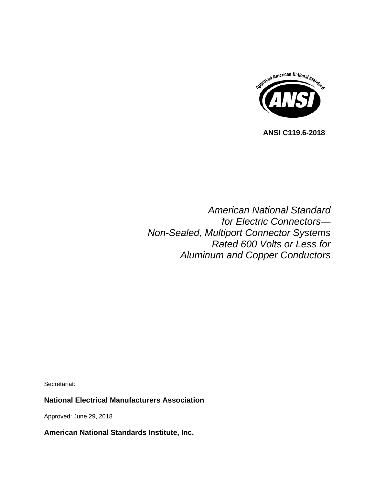

 **ANSI C119.6-2018**

*American National Standard for Electric Connectors— Non-Sealed, Multiport Connector Systems Rated 600 Volts or Less for Aluminum and Copper Conductors*

Secretariat:

## **National Electrical Manufacturers Association**

Approved: June 29, 2018

**American National Standards Institute, Inc.**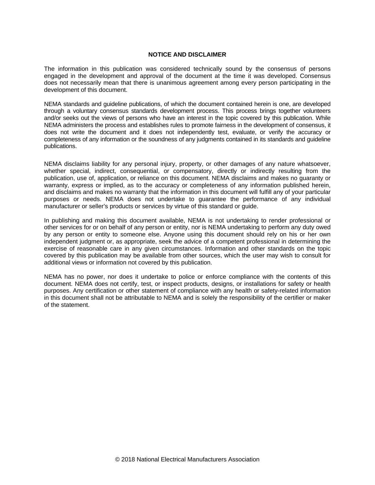#### **NOTICE AND DISCLAIMER**

The information in this publication was considered technically sound by the consensus of persons engaged in the development and approval of the document at the time it was developed. Consensus does not necessarily mean that there is unanimous agreement among every person participating in the development of this document.

NEMA standards and guideline publications, of which the document contained herein is one, are developed through a voluntary consensus standards development process. This process brings together volunteers and/or seeks out the views of persons who have an interest in the topic covered by this publication. While NEMA administers the process and establishes rules to promote fairness in the development of consensus, it does not write the document and it does not independently test, evaluate, or verify the accuracy or completeness of any information or the soundness of any judgments contained in its standards and guideline publications.

NEMA disclaims liability for any personal injury, property, or other damages of any nature whatsoever, whether special, indirect, consequential, or compensatory, directly or indirectly resulting from the publication, use of, application, or reliance on this document. NEMA disclaims and makes no guaranty or warranty, express or implied, as to the accuracy or completeness of any information published herein, and disclaims and makes no warranty that the information in this document will fulfill any of your particular purposes or needs. NEMA does not undertake to guarantee the performance of any individual manufacturer or seller's products or services by virtue of this standard or guide.

In publishing and making this document available, NEMA is not undertaking to render professional or other services for or on behalf of any person or entity, nor is NEMA undertaking to perform any duty owed by any person or entity to someone else. Anyone using this document should rely on his or her own independent judgment or, as appropriate, seek the advice of a competent professional in determining the exercise of reasonable care in any given circumstances. Information and other standards on the topic covered by this publication may be available from other sources, which the user may wish to consult for additional views or information not covered by this publication.

NEMA has no power, nor does it undertake to police or enforce compliance with the contents of this document. NEMA does not certify, test, or inspect products, designs, or installations for safety or health purposes. Any certification or other statement of compliance with any health or safety-related information in this document shall not be attributable to NEMA and is solely the responsibility of the certifier or maker of the statement.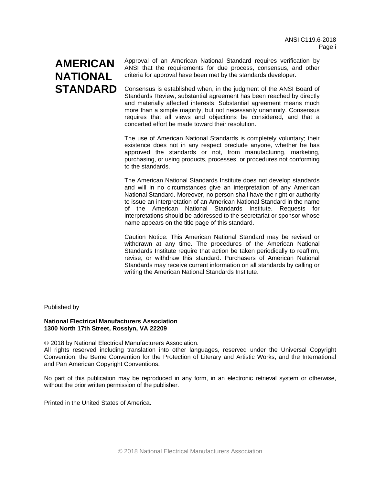# **AMERICAN NATIONAL STANDARD**

Approval of an American National Standard requires verification by ANSI that the requirements for due process, consensus, and other criteria for approval have been met by the standards developer.

Consensus is established when, in the judgment of the ANSI Board of Standards Review, substantial agreement has been reached by directly and materially affected interests. Substantial agreement means much more than a simple majority, but not necessarily unanimity. Consensus requires that all views and objections be considered, and that a concerted effort be made toward their resolution.

The use of American National Standards is completely voluntary; their existence does not in any respect preclude anyone, whether he has approved the standards or not, from manufacturing, marketing, purchasing, or using products, processes, or procedures not conforming to the standards.

The American National Standards Institute does not develop standards and will in no circumstances give an interpretation of any American National Standard. Moreover, no person shall have the right or authority to issue an interpretation of an American National Standard in the name of the American National Standards Institute. Requests for interpretations should be addressed to the secretariat or sponsor whose name appears on the title page of this standard.

Caution Notice: This American National Standard may be revised or withdrawn at any time. The procedures of the American National Standards Institute require that action be taken periodically to reaffirm, revise, or withdraw this standard. Purchasers of American National Standards may receive current information on all standards by calling or writing the American National Standards Institute.

Published by

#### **National Electrical Manufacturers Association 1300 North 17th Street, Rosslyn, VA 22209**

2018 by National Electrical Manufacturers Association.

All rights reserved including translation into other languages, reserved under the Universal Copyright Convention, the Berne Convention for the Protection of Literary and Artistic Works, and the International and Pan American Copyright Conventions.

No part of this publication may be reproduced in any form, in an electronic retrieval system or otherwise, without the prior written permission of the publisher.

Printed in the United States of America.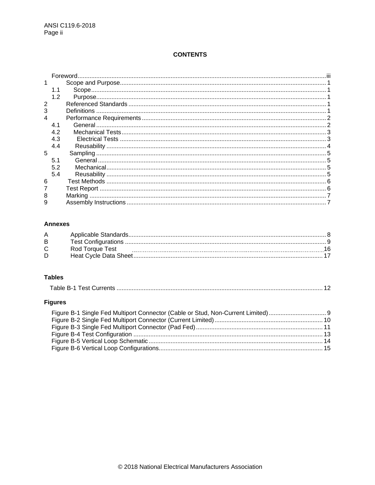# **CONTENTS**

|   |     | Foreword. |  |
|---|-----|-----------|--|
|   |     |           |  |
|   |     |           |  |
|   | 1.2 |           |  |
|   |     |           |  |
|   |     |           |  |
|   |     |           |  |
|   | 4.1 |           |  |
|   | 4.2 |           |  |
|   | 4.3 |           |  |
|   | 4.4 |           |  |
| 5 |     |           |  |
|   | 5.1 |           |  |
|   | 5.2 |           |  |
|   | 5.4 |           |  |
| 6 |     |           |  |
|   |     |           |  |
|   |     |           |  |
| 9 |     |           |  |

## **Annexes**

| A |                 |  |
|---|-----------------|--|
| В |                 |  |
|   | Rod Torque Test |  |
| D |                 |  |

### **Tables**

# **Figures**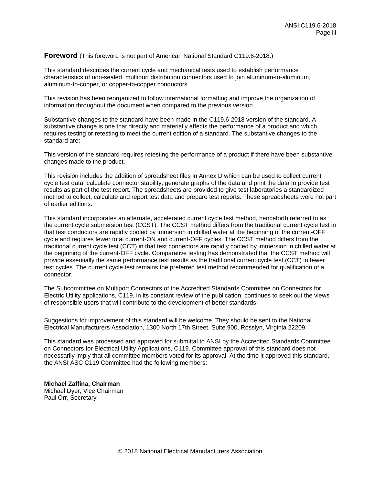#### <span id="page-4-0"></span>**Foreword** (This foreword is not part of American National Standard C119.6-2018.)

This standard describes the current cycle and mechanical tests used to establish performance characteristics of non-sealed, multiport distribution connectors used to join aluminum-to-aluminum, aluminum-to-copper, or copper-to-copper conductors.

This revision has been reorganized to follow international formatting and improve the organization of information throughout the document when compared to the previous version.

Substantive changes to the standard have been made in the C119.6-2018 version of the standard. A substantive change is one that directly and materially affects the performance of a product and which requires testing or retesting to meet the current edition of a standard. The substantive changes to the standard are:

This version of the standard requires retesting the performance of a product if there have been substantive changes made to the product.

This revision includes the addition of spreadsheet files in Annex D which can be used to collect current cycle test data, calculate connector stability, generate graphs of the data and print the data to provide test results as part of the test report. The spreadsheets are provided to give test laboratories a standardized method to collect, calculate and report test data and prepare test reports. These spreadsheets were not part of earlier editions.

This standard incorporates an alternate, accelerated current cycle test method, henceforth referred to as the current cycle submersion test (CCST). The CCST method differs from the traditional current cycle test in that test conductors are rapidly cooled by immersion in chilled water at the beginning of the current-OFF cycle and requires fewer total current-ON and current-OFF cycles. The CCST method differs from the traditional current cycle test (CCT) in that test connectors are rapidly cooled by immersion in chilled water at the beginning of the current-OFF cycle. Comparative testing has demonstrated that the CCST method will provide essentially the same performance test results as the traditional current cycle test (CCT) in fewer test cycles. The current cycle test remains the preferred test method recommended for qualification of a connector.

The Subcommittee on Multiport Connectors of the Accredited Standards Committee on Connectors for Electric Utility applications, C119, in its constant review of the publication, continues to seek out the views of responsible users that will contribute to the development of better standards.

Suggestions for improvement of this standard will be welcome. They should be sent to the National Electrical Manufacturers Association, 1300 North 17th Street, Suite 900, Rosslyn, Virginia 22209.

This standard was processed and approved for submittal to ANSI by the Accredited Standards Committee on Connectors for Electrical Utility Applications, C119. Committee approval of this standard does not necessarily imply that all committee members voted for its approval. At the time it approved this standard, the ANSI ASC C119 Committee had the following members:

**Michael Zaffina, Chairman** Michael Dyer, Vice Chairman Paul Orr, Secretary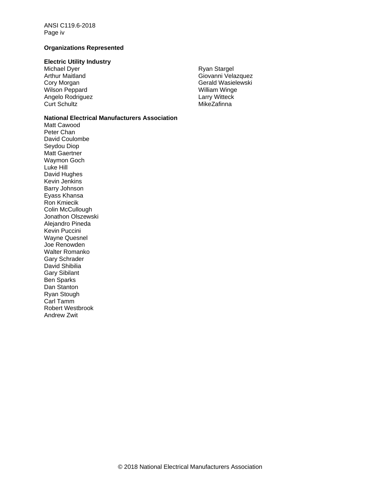ANSI C119.6-2018 Page iv

#### **Organizations Represented**

#### **Electric Utility Industry**

Michael Dyer Arthur Maitland Cory Morgan Wilson Peppard Angelo Rodriguez Curt Schultz

#### **National Electrical Manufacturers Association**

Matt Cawood Peter Chan David Coulombe Seydou Diop Matt Gaertner Waymon Goch Luke Hill David Hughes Kevin Jenkins Barry Johnson Eyass Khansa Ron Kmiecik Colin McCullough Jonathon Olszewski Alejandro Pineda Kevin Puccini Wayne Quesnel Joe Renowden Walter Romanko Gary Schrader David Shibilia Gary Sibilant Ben Sparks Dan Stanton Ryan Stough Carl Tamm Robert Westbrook Andrew Zwit

Ryan Stargel Giovanni Velazquez Gerald Wasielewski William Winge Larry Witteck **MikeZafinna**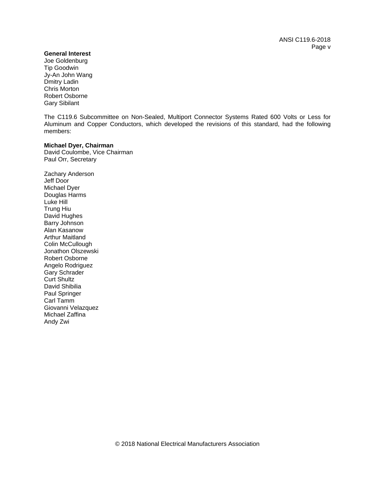ANSI C119.6-2018 Page v

#### **General Interest**

Joe Goldenburg Tip Goodwin Jy-An John Wang Dmitry Ladin Chris Morton Robert Osborne Gary Sibilant

The C119.6 Subcommittee on Non-Sealed, Multiport Connector Systems Rated 600 Volts or Less for Aluminum and Copper Conductors, which developed the revisions of this standard, had the following members:

#### **Michael Dyer, Chairman**

David Coulombe, Vice Chairman Paul Orr, Secretary

Zachary Anderson Jeff Door Michael Dyer Douglas Harms Luke Hill Trung Hiu David Hughes Barry Johnson Alan Kasanow Arthur Maitland Colin McCullough Jonathon Olszewski Robert Osborne Angelo Rodriguez Gary Schrader Curt Shultz David Shibilia Paul Springer Carl Tamm Giovanni Velazquez Michael Zaffina Andy Zwi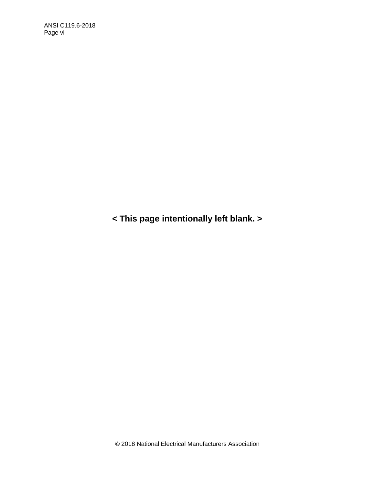**< This page intentionally left blank. >**